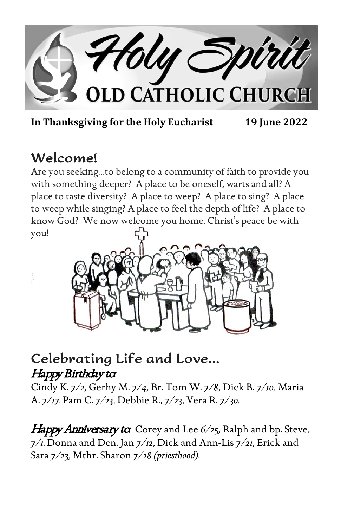

**In Thanksgiving for the Holy Eucharist 19 June 2022** 

# Welcome!

Are you seeking…to belong to a community of faith to provide you with something deeper? A place to be oneself, warts and all? A place to taste diversity? A place to weep? A place to sing? A place to weep while singing? A place to feel the depth of life? A place to know God? We now welcome you home. Christ's peace be with you!



## Celebrating Life and Love… Happy Birthday to

Cindy K. *7/2,* Gerhy M. *7/4,* Br. Tom W. *7/8,* Dick B. *7/10,* Maria A. *7/17.* Pam C. *7/23,* Debbie R., *7/23,* Vera R. *7/30.*

Happy Anniversary to Corey and Lee 6/25, Ralph and bp. Steve, *7/1.* Donna and Dcn. Jan *7/12,* Dick and Ann-Lis *7/21,* Erick and Sara *7/23,* Mthr. Sharon *7/28 (priesthood).*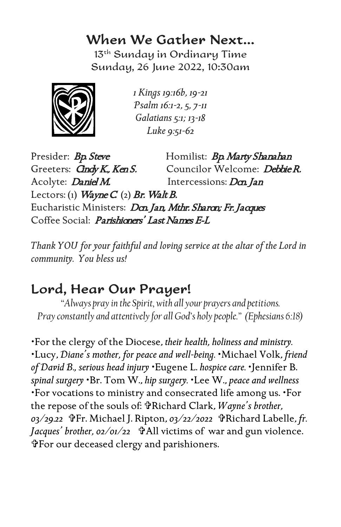### When We Gather Next…

13th Sunday in Ordinary Time Sunday, 26 June 2022, 10:30am



*1 Kings 19:16b, 19-21 Psalm 16:1-2, 5, 7-11 Galatians 5:1; 13-18 Luke 9:51-62*

Presider: Bp. Steve Homilist: Bp. Marty Shanahan Greeters: *Gndy K., Ken S.* Councilor Welcome: *Debbie R.* Acolyte: *Daniel M.* Intercessions: *Dcn. Jan* Lectors: (1) Wayne  $C$  (2) Br. Walt B. Eucharistic Ministers: Dan Jan, Mthr. Sharon; Fr. Jacques Coffee Social: *Parishioners' Last Names E-L* 

*Thank YOU for your faithful and loving service at the altar of the Lord in community. You bless us!*

## Lord, Hear Our Prayer!

*"Always pray in the Spirit, with all your prayers and petitions. Pray constantly and attentively for all God's holy people." (Ephesians 6:18)*

For the clergy of the Diocese, *their health, holiness and ministry.* Lucy, *Diane's mother, for peace and well-being.* Michael Volk, *friend of David B., serious head injury* Eugene L. *hospice care.* Jennifer B. *spinal surgery* Br. Tom W., *hip surgery.* Lee W., *peace and wellness*  For vocations to ministry and consecrated life among us. For the repose of the souls of: Richard Clark, *Wayne's brother, 03/29.22* Fr. Michael J. Ripton, *03/22/2022* Richard Labelle, *fr.*  Jacques' brother, 02/01/22 *PAll victims of war and gun violence*. For our deceased clergy and parishioners.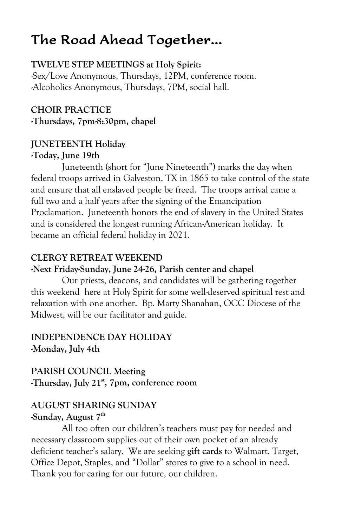# The Road Ahead Together…

### **TWELVE STEP MEETINGS at Holy Spirit:**

-Sex/Love Anonymous, Thursdays, 12PM, conference room. -Alcoholics Anonymous, Thursdays, 7PM, social hall.

**CHOIR PRACTICE -Thursdays, 7pm-8:30pm, chapel**

### **JUNETEENTH Holiday -Today, June 19th**

Juneteenth (short for "June Nineteenth") marks the day when federal troops arrived in Galveston, TX in 1865 to take control of the state and ensure that all enslaved people be freed. The troops arrival came a full two and a half years after the signing of the Emancipation Proclamation. Juneteenth honors the end of slavery in the United States and is considered the longest running African-American holiday. It became an official federal holiday in 2021.

#### **CLERGY RETREAT WEEKEND**

#### **-Next Friday-Sunday, June 24-26, Parish center and chapel**

Our priests, deacons, and candidates will be gathering together this weekend here at Holy Spirit for some well-deserved spiritual rest and relaxation with one another. Bp. Marty Shanahan, OCC Diocese of the Midwest, will be our facilitator and guide.

### **INDEPENDENCE DAY HOLIDAY -Monday, July 4th**

### **PARISH COUNCIL Meeting -Thursday, July 21st, 7pm, conference room**

#### **AUGUST SHARING SUNDAY -Sunday, August 7th**

All too often our children's teachers must pay for needed and necessary classroom supplies out of their own pocket of an already deficient teacher's salary. We are seeking **gift cards** to Walmart, Target, Office Depot, Staples, and "Dollar" stores to give to a school in need. Thank you for caring for our future, our children.